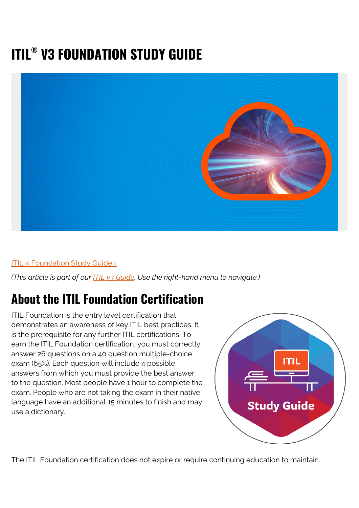# **ITIL® V3 FOUNDATION STUDY GUIDE**



### ITIL 4 Foundation Study Guide >

*(This article is part of our [ITIL v3 Guide](https://blogs.bmc.com/blogs/itil-v3-introduction/). Use the right-hand menu to navigate.)*

## **About the ITIL Foundation Certification**

ITIL Foundation is the entry level certification that demonstrates an awareness of key ITIL best practices. It is the prerequisite for any further ITIL certifications. To earn the ITIL Foundation certification, you must correctly answer 26 questions on a 40 question multiple-choice exam (65%). Each question will include 4 possible answers from which you must provide the best answer to the question. Most people have 1 hour to complete the exam. People who are not taking the exam in their native language have an additional 15 minutes to finish and may use a dictionary.



The ITIL Foundation certification does not expire or require continuing education to maintain.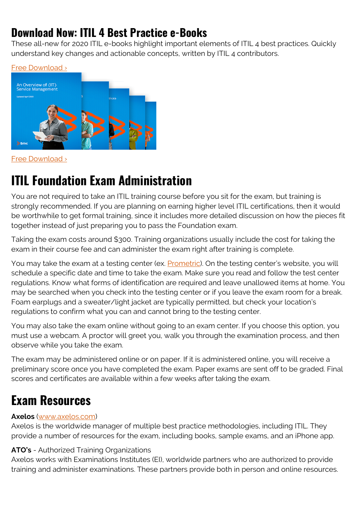## **Download Now: ITIL 4 Best Practice e-Books**

These all-new for 2020 ITIL e-books highlight important elements of ITIL 4 best practices. Quickly understand key changes and actionable concepts, written by ITIL 4 contributors.



[Free Download ›](https://www.bmc.com/forms/itil-free-ebook.html)

# **ITIL Foundation Exam Administration**

You are not required to take an ITIL training course before you sit for the exam, but training is strongly recommended. If you are planning on earning higher level ITIL certifications, then it would be worthwhile to get formal training, since it includes more detailed discussion on how the pieces fit together instead of just preparing you to pass the Foundation exam.

Taking the exam costs around \$300. Training organizations usually include the cost for taking the exam in their course fee and can administer the exam right after training is complete.

You may take the exam at a testing center (ex. [Prometric](https://www.prometric.com/)). On the testing center's website, you will schedule a specific date and time to take the exam. Make sure you read and follow the test center regulations. Know what forms of identification are required and leave unallowed items at home. You may be searched when you check into the testing center or if you leave the exam room for a break. Foam earplugs and a sweater/light jacket are typically permitted, but check your location's regulations to confirm what you can and cannot bring to the testing center.

You may also take the exam online without going to an exam center. If you choose this option, you must use a webcam. A proctor will greet you, walk you through the examination process, and then observe while you take the exam.

The exam may be administered online or on paper. If it is administered online, you will receive a preliminary score once you have completed the exam. Paper exams are sent off to be graded. Final scores and certificates are available within a few weeks after taking the exam.

# **Exam Resources**

### **Axelos** ([www.axelos.com](http://www.axelos.com))

Axelos is the worldwide manager of multiple best practice methodologies, including ITIL. They provide a number of resources for the exam, including books, sample exams, and an iPhone app.

### **ATO's** - Authorized Training Organizations

Axelos works with Examinations Institutes (EI), worldwide partners who are authorized to provide training and administer examinations. These partners provide both in person and online resources.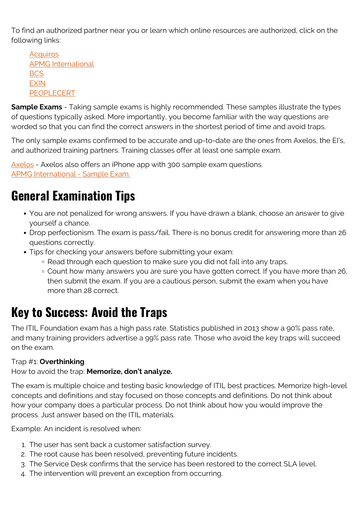To find an authorized partner near you or learn which online resources are authorized, click on the following links:

**[Acquiros](http://www.acquiros.com/kip-list)** [APMG International](http://www.apmg-international.com/en/search/ao-search-en.aspx?txtCompanyName=&ddlProductCategories=21320%7CITIL%C2%AE&ddlProductComponents=&ddlCountries=&lstLanguagesOffered=&btnSearch=Search) **[BCS](https://partner.bcs.org/partners-directory/results/?partner_type=733&partner_certification=56&partner_subject=54&partner_reason=13) [EXIN](https://www.exin.com/) [PEOPLECERT](http://www.peoplecert.org/en/Training-Providers/search_Exam_Centers/Pages/Search_Training_Providers_Exam_Centers.aspx)** 

**Sample Exams** - Taking sample exams is highly recommended. These samples illustrate the types of questions typically asked. More importantly, you become familiar with the way questions are worded so that you can find the correct answers in the shortest period of time and avoid traps.

The only sample exams confirmed to be accurate and up-to-date are the ones from Axelos, the EI's, and authorized training partners. Training classes offer at least one sample exam.

[Axelos](https://www.axelos.com/certifications/sample-papers) - Axelos also offers an iPhone app with 300 sample exam questions. [APMG International - Sample Exam.](http://www.apmg-exams.com/index.aspx?masterid=1)

# **General Examination Tips**

- You are not penalized for wrong answers. If you have drawn a blank, choose an answer to give yourself a chance.
- Drop perfectionism. The exam is pass/fail. There is no bonus credit for answering more than 26 questions correctly.
- Tips for checking your answers before submitting your exam:
	- Read through each question to make sure you did not fall into any traps.
	- Count how many answers you are sure you have gotten correct. If you have more than 26, then submit the exam. If you are a cautious person, submit the exam when you have more than 28 correct.

## **Key to Success: Avoid the Traps**

The ITIL Foundation exam has a high pass rate. Statistics published in 2013 show a 90% pass rate, and many training providers advertise a 99% pass rate. Those who avoid the key traps will succeed on the exam.

### Trap #1: **Overthinking**

How to avoid the trap: **Memorize, don't analyze.**

The exam is multiple choice and testing basic knowledge of ITIL best practices. Memorize high-level concepts and definitions and stay focused on those concepts and definitions. Do not think about how your company does a particular process. Do not think about how you would improve the process. Just answer based on the ITIL materials.

Example: An incident is resolved when:

- 1. The user has sent back a customer satisfaction survey.
- 2. The root cause has been resolved, preventing future incidents.
- 3. The Service Desk confirms that the service has been restored to the correct SLA level.
- 4. The intervention will prevent an exception from occurring.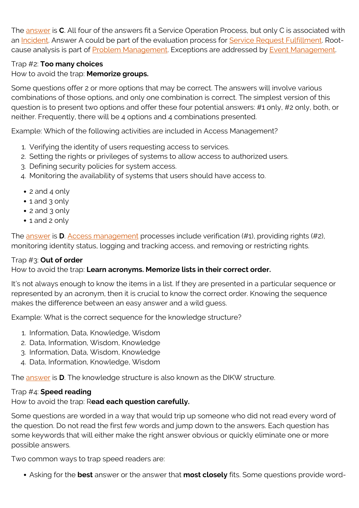The [answer](https://blogs.bmc.com/blogs/itil-v3-incident-management/) is **C**. All four of the answers fit a Service Operation Process, but only C is associated with an [Incident](https://blogs.bmc.com/blogs/itil-v3-incident-management/). Answer A could be part of the evaluation process for [Service Request Fulfillment.](https://blogs.bmc.com/blogs/itil-service-request-fulfillment/) Root-cause analysis is part of [Problem Management.](https://blogs.bmc.com/blogs/itil-problem-management/) Exceptions are addressed by [Event Management](https://blogs.bmc.com/blogs/itil-event-management/).

### Trap #2: **Too many choices**

How to avoid the trap: **Memorize groups.**

Some questions offer 2 or more options that may be correct. The answers will involve various combinations of those options, and only one combination is correct. The simplest version of this question is to present two options and offer these four potential answers: #1 only, #2 only, both, or neither. Frequently, there will be 4 options and 4 combinations presented.

Example: Which of the following activities are included in Access Management?

- 1. Verifying the identity of users requesting access to services.
- 2. Setting the rights or privileges of systems to allow access to authorized users.
- 3. Defining security policies for system access.
- 4. Monitoring the availability of systems that users should have access to.
- 2 and 4 only
- 1 and 3 only
- 2 and 3 only
- 1 and 2 only

The [answer](https://blogs.bmc.com/blogs/itil-access-management/) is **D**. [Access management](https://blogs.bmc.com/blogs/itil-access-management/) processes include verification (#1), providing rights (#2), monitoring identity status, logging and tracking access, and removing or restricting rights.

### Trap #3: **Out of order**

### How to avoid the trap: **Learn acronyms. Memorize lists in their correct order.**

It's not always enough to know the items in a list. If they are presented in a particular sequence or represented by an acronym, then it is crucial to know the correct order. Knowing the sequence makes the difference between an easy answer and a wild guess.

Example: What is the correct sequence for the knowledge structure?

- 1. Information, Data, Knowledge, Wisdom
- 2. Data, Information, Wisdom, Knowledge
- 3. Information, Data, Wisdom, Knowledge
- 4. Data, Information, Knowledge, Wisdom

The [answer](https://blogs.bmc.com/blogs/itil-knowledge-management/) is **D**. The knowledge structure is also known as the DIKW structure.

### Trap #4: **Speed reading**

How to avoid the trap: R**ead each question carefully.**

Some questions are worded in a way that would trip up someone who did not read every word of the question. Do not read the first few words and jump down to the answers. Each question has some keywords that will either make the right answer obvious or quickly eliminate one or more possible answers.

Two common ways to trap speed readers are:

Asking for the **best** answer or the answer that **most closely** fits. Some questions provide word-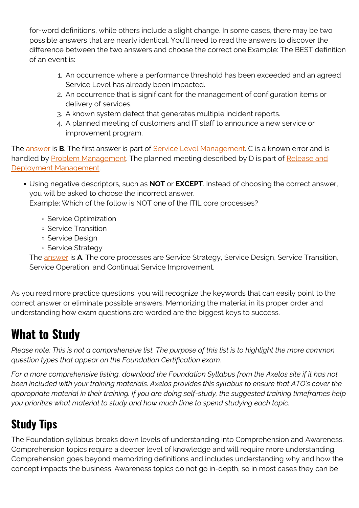for-word definitions, while others include a slight change. In some cases, there may be two possible answers that are nearly identical. You'll need to read the answers to discover the difference between the two answers and choose the correct one.Example: The BEST definition of an event is:

- 1. An occurrence where a performance threshold has been exceeded and an agreed Service Level has already been impacted.
- 2. An occurrence that is significant for the management of configuration items or delivery of services.
- 3. A known system defect that generates multiple incident reports.
- 4. A planned meeting of customers and IT staff to announce a new service or improvement program.

The [answer](https://blogs.bmc.com/blogs/itil-event-management/) is **B**. The first answer is part of **Service Level Management**. C is a known error and is handled by [Problem Management](https://blogs.bmc.com/blogs/itil-problem-management/). The planned meeting described by D is part of [Release and](https://blogs.bmc.com/blogs/itil-release-deployment-management/) [Deployment Management.](https://blogs.bmc.com/blogs/itil-release-deployment-management/)

Using negative descriptors, such as **NOT** or **EXCEPT**. Instead of choosing the correct answer, you will be asked to choose the incorrect answer.

Example: Which of the follow is NOT one of the ITIL core processes?

- Service Optimization
- Service Transition
- Service Design
- o Service Strategy

The [answer](https://blogs.bmc.com/blogs/itil-4/) is **A**. The core processes are Service Strategy, Service Design, Service Transition, Service Operation, and Continual Service Improvement.

As you read more practice questions, you will recognize the keywords that can easily point to the correct answer or eliminate possible answers. Memorizing the material in its proper order and understanding how exam questions are worded are the biggest keys to success.

# **What to Study**

*Please note: This is not a comprehensive list. The purpose of this list is to highlight the more common question types that appear on the Foundation Certification exam.*

*For a more comprehensive listing, download the Foundation Syllabus from the Axelos site if it has not been included with your training materials. Axelos provides this syllabus to ensure that ATO's cover the appropriate material in their training. If you are doing self-study, the suggested training timeframes help you prioritize what material to study and how much time to spend studying each topic.*

# **Study Tips**

The Foundation syllabus breaks down levels of understanding into Comprehension and Awareness. Comprehension topics require a deeper level of knowledge and will require more understanding. Comprehension goes beyond memorizing definitions and includes understanding why and how the concept impacts the business. Awareness topics do not go in-depth, so in most cases they can be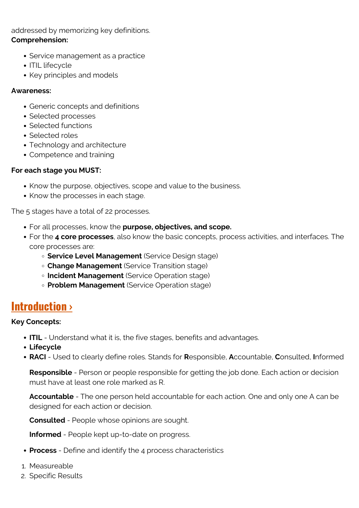addressed by memorizing key definitions. **Comprehension:**

- Service management as a practice
- ITIL lifecycle
- Key principles and models

### **Awareness:**

- Generic concepts and definitions
- Selected processes
- Selected functions
- Selected roles
- Technology and architecture
- Competence and training

### **For each stage you MUST:**

- Know the purpose, objectives, scope and value to the business.
- Know the processes in each stage.

The 5 stages have a total of 22 processes.

- For all processes, know the **purpose, objectives, and scope.**
- For the **4 core processes**, also know the basic concepts, process activities, and interfaces. The core processes are:
	- **Service Level Management** (Service Design stage)
	- **Change Management** (Service Transition stage)
	- **Incident Management** (Service Operation stage)
	- **Problem Management** (Service Operation stage)

### **[Introduction ›](https://blogs.bmc.com/blogs/itil-4/)**

### **Key Concepts:**

- **ITIL** Understand what it is, the five stages, benefits and advantages.
- **Lifecycle**
- **RACI** Used to clearly define roles. Stands for **R**esponsible, **A**ccountable, **C**onsulted, **I**nformed

**Responsible** - Person or people responsible for getting the job done. Each action or decision must have at least one role marked as R.

**Accountable** - The one person held accountable for each action. One and only one A can be designed for each action or decision.

**Consulted** - People whose opinions are sought.

**Informed** - People kept up-to-date on progress.

- **Process** Define and identify the 4 process characteristics
- 1. Measureable
- 2. Specific Results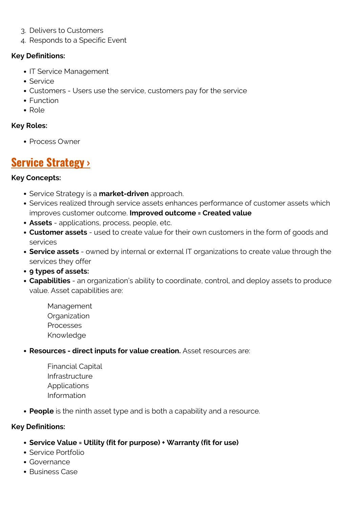- 3. Delivers to Customers
- 4. Responds to a Specific Event

### **Key Definitions:**

- IT Service Management
- Service
- Customers Users use the service, customers pay for the service
- Function
- Role

### **Key Roles:**

• Process Owner

### **[Service Strategy ›](https://blogs.bmc.com/blogs/itil-service-strategy/)**

### **Key Concepts:**

- Service Strategy is a **market-driven** approach.
- Services realized through service assets enhances performance of customer assets which improves customer outcome. **Improved outcome = Created value**
- **Assets** applications, process, people, etc.
- **Customer assets** used to create value for their own customers in the form of goods and services
- **Service assets** owned by internal or external IT organizations to create value through the services they offer
- **9 types of assets:**
- **Capabilities** an organization's ability to coordinate, control, and deploy assets to produce value. Asset capabilities are:
	- Management **Organization** Processes Knowledge
- **Resources direct inputs for value creation.** Asset resources are:
	- Financial Capital Infrastructure Applications Information
- **People** is the ninth asset type and is both a capability and a resource.

### **Key Definitions:**

- **Service Value = Utility (fit for purpose) + Warranty (fit for use)**
- Service Portfolio
- Governance
- Business Case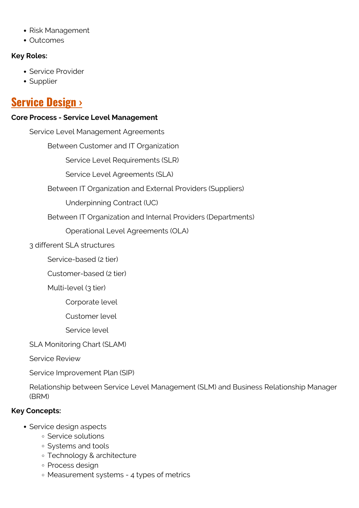- Risk Management
- Outcomes

### **Key Roles:**

- Service Provider
- Supplier

### **[Service Design ›](https://blogs.bmc.com/blogs/itil-service-design/)**

### **Core Process - Service Level Management**

Service Level Management Agreements Between Customer and IT Organization Service Level Requirements (SLR) Service Level Agreements (SLA) Between IT Organization and External Providers (Suppliers) Underpinning Contract (UC) Between IT Organization and Internal Providers (Departments) Operational Level Agreements (OLA) 3 different SLA structures Service-based (2 tier) Customer-based (2 tier) Multi-level (3 tier) Corporate level Customer level Service level SLA Monitoring Chart (SLAM) Service Review Service Improvement Plan (SIP)

Relationship between Service Level Management (SLM) and Business Relationship Manager (BRM)

### **Key Concepts:**

- Service design aspects
	- **Service solutions**
	- Systems and tools
	- Technology & architecture
	- o Process design
	- Measurement systems 4 types of metrics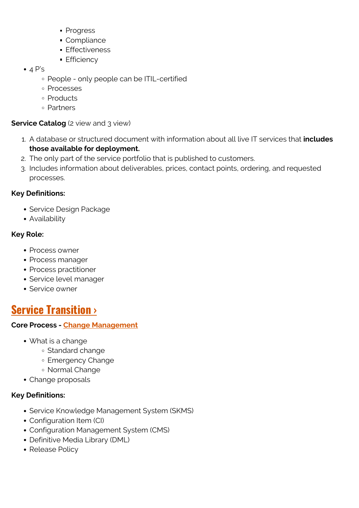- **Progress**
- Compliance
- **Effectiveness**
- **Efficiency**
- $\bullet$  4 P's
	- People only people can be ITIL-certified
	- Processes
	- Products
	- Partners

### **Service Catalog** (2 view and 3 view)

- 1. A database or structured document with information about all live IT services that **includes those available for deployment.**
- 2. The only part of the service portfolio that is published to customers.
- 3. Includes information about deliverables, prices, contact points, ordering, and requested processes.

### **Key Definitions:**

- Service Design Package
- Availability

### **Key Role:**

- Process owner
- Process manager
- Process practitioner
- Service level manager
- Service owner

### **[Service Transition ›](https://blogs.bmc.com/blogs/itil-service-transition/)**

### **Core Process - [Change Management](https://blogs.bmc.com/blogs/itil-change-management/)**

- What is a change
	- Standard change
	- Emergency Change
	- Normal Change
- Change proposals

### **Key Definitions:**

- Service Knowledge Management System (SKMS)
- Configuration Item (CI)
- Configuration Management System (CMS)
- Definitive Media Library (DML)
- Release Policy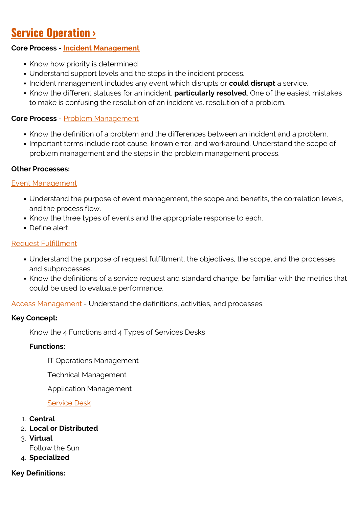## **[Service Operation ›](https://blogs.bmc.com/blogs/itil-service-operation/)**

### **Core Process - [Incident Management](https://blogs.bmc.com/blogs/itil-v3-incident-management/)**

- Know how priority is determined
- Understand support levels and the steps in the incident process.
- Incident management includes any event which disrupts or **could disrupt** a service.
- Know the different statuses for an incident, **particularly resolved**. One of the easiest mistakes to make is confusing the resolution of an incident vs. resolution of a problem.

### **Core Process** - [Problem Management](https://blogs.bmc.com/blogs/itil-problem-management/)

- Know the definition of a problem and the differences between an incident and a problem.
- Important terms include root cause, known error, and workaround. Understand the scope of problem management and the steps in the problem management process.

### **Other Processes:**

### [Event Management](https://blogs.bmc.com/blogs/itil-event-management/)

- Understand the purpose of event management, the scope and benefits, the correlation levels, and the process flow.
- Know the three types of events and the appropriate response to each.
- Define alert.

### [Request Fulfillment](https://blogs.bmc.com/blogs/itil-service-request-fulfillment/)

- Understand the purpose of request fulfillment, the objectives, the scope, and the processes and subprocesses.
- Know the definitions of a service request and standard change, be familiar with the metrics that could be used to evaluate performance.

[Access Management](https://blogs.bmc.com/blogs/itil-access-management/) - Understand the definitions, activities, and processes.

#### **Key Concept:**

Know the 4 Functions and 4 Types of Services Desks

#### **Functions:**

IT Operations Management

Technical Management

Application Management

#### [Service Desk](https://blogs.bmc.com/blogs/itil-v3-incident-management/)

- 1. **Central**
- 2. **Local or Distributed**
- 3. **Virtual**

Follow the Sun

4. **Specialized**

### **Key Definitions:**